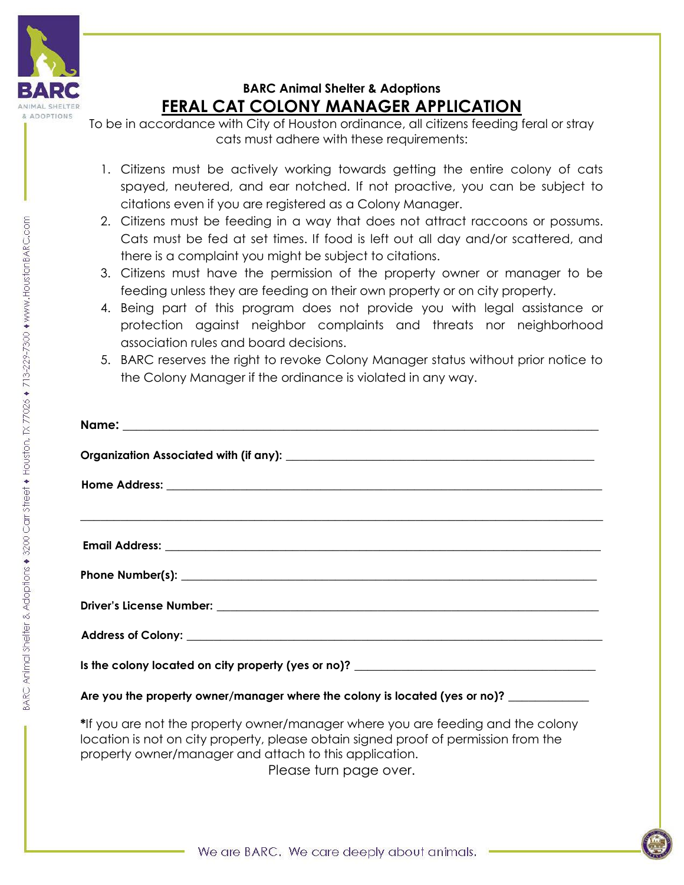

## **BARC Animal Shelter & Adoptions FERAL CAT COLONY MANAGER APPLICATION**

To be in accordance with City of Houston ordinance, all citizens feeding feral or stray cats must adhere with these requirements:

- 1. Citizens must be actively working towards getting the entire colony of cats spayed, neutered, and ear notched. If not proactive, you can be subject to citations even if you are registered as a Colony Manager.
- 2. Citizens must be feeding in a way that does not attract raccoons or possums. Cats must be fed at set times. If food is left out all day and/or scattered, and there is a complaint you might be subject to citations.
- 3. Citizens must have the permission of the property owner or manager to be feeding unless they are feeding on their own property or on city property.
- 4. Being part of this program does not provide you with legal assistance or protection against neighbor complaints and threats nor neighborhood association rules and board decisions.
- 5. BARC reserves the right to revoke Colony Manager status without prior notice to the Colony Manager if the ordinance is violated in any way.

| <u> 1989 - Johann John Stoff, amerikan besteht besteht aus dem Berlingen aus dem Berlingen aus dem Berlingen aus</u> |
|----------------------------------------------------------------------------------------------------------------------|
|                                                                                                                      |
|                                                                                                                      |
|                                                                                                                      |
|                                                                                                                      |
|                                                                                                                      |
| Are you the property owner/manager where the colony is located (yes or no)?                                          |

**\***If you are not the property owner/manager where you are feeding and the colony location is not on city property, please obtain signed proof of permission from the property owner/manager and attach to this application.

Please turn page over.